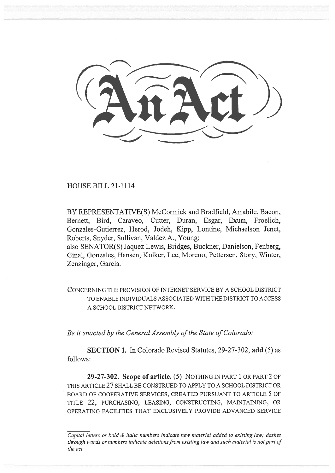HOUSE BILL 21-1114

BY REPRESENTATIVE(S) McCormick and Bradfield, Amabile, Bacon, Bernett, Bird, Caraveo, Cutter, Duran, Esgar, Exum, Froelich, Gonzales-Gutierrez, Herod, Jodeh, Kipp, Lontine, Michaelson Jenet, Roberts, Snyder, Sullivan, Valdez A., Young;

also SENATOR(S) Jaquez Lewis, Bridges, Buckner, Danielson, Fenberg, Ginal, Gonzales, Hansen, Kolker, Lee, Moreno, Pettersen, Story, Winter, Zenzinger, Garcia.

CONCERNING THE PROVISION OF INTERNET SERVICE BY A SCHOOL DISTRICT TO ENABLE INDIVIDUALS ASSOCIATED WITH THE DISTRICT TO ACCESS A SCHOOL DISTRICT NETWORK.

Be it enacted by the General Assembly of the State of Colorado:

SECTION 1. In Colorado Revised Statutes, 29-27-302, add (5) as follows:

29-27-302. Scope of article. (5) NOTHING IN PART 1 OR PART 2 OF THIS ARTICLE 27 SHALL BE CONSTRUED TO APPLY TO A SCHOOL DISTRICT OR BOARD OF COOPERATIVE SERVICES, CREATED PURSUANT TO ARTICLE 5 OF TITLE 22, PURCHASING, LEASING, CONSTRUCTING, MAINTAINING, OR OPERATING FACILITIES THAT EXCLUSIVELY PROVIDE ADVANCED SERVICE

Capital letters or bold & italic numbers indicate new material added to existing law; dashes through words or numbers indicate deletions from existing law and such material is not part of the act.